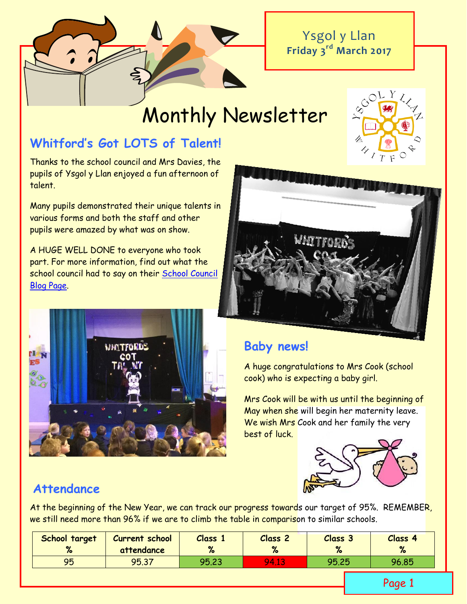Ysgol y Llan **Friday 3 rd March 2017**

# Monthly Newsletter

# **Whitford's Got LOTS of Talent!**

Thanks to the school council and Mrs Davies, the pupils of Ysgol y Llan enjoyed a fun afternoon of talent.

Many pupils demonstrated their unique talents in various forms and both the staff and other pupils were amazed by what was on show.

A HUGE WELL DONE to everyone who took part. For more information, find out what the school council had to say on their [School Council](http://www.ysgolyllan.co.uk/school-council-blog)  [Blog Page.](http://www.ysgolyllan.co.uk/school-council-blog)



# **Baby news!**

A huge congratulations to Mrs Cook (school cook) who is expecting a baby girl.

Mrs Cook will be with us until the beginning of May when she will begin her maternity leave. We wish Mrs Cook and her family the very best of luck.



# **Attendance**

At the beginning of the New Year, we can track our progress towards our target of 95%. REMEMBER, we still need more than 96% if we are to climb the table in comparison to similar schools.

| School target<br>$\alpha$ | Current school<br>attendance | Class<br>$\alpha$ | Class <sub>2</sub> | Class 3 | Class 4<br>% |
|---------------------------|------------------------------|-------------------|--------------------|---------|--------------|
| 95                        | 95.37                        | 95.23             | <b>94.1.</b>       | 95.25   | 96.85        |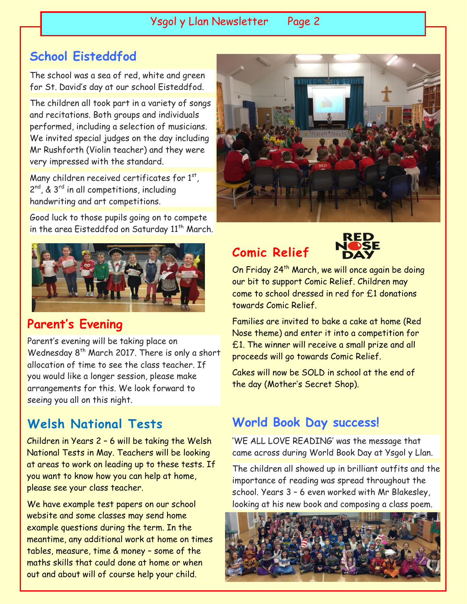Ysgol y Llan Newsletter Page 2

# **School Eisteddfod**

The school was a sea of red, white and green for St. David's day at our school Eisteddfod.

The children all took part in a variety of songs and recitations. Both groups and individuals performed, including a selection of musicians. We invited special judges on the day including Mr Rushforth (Violin teacher) and they were very impressed with the standard.

Many children received certificates for  $1<sup>st</sup>$ , 2<sup>nd</sup>, & 3<sup>rd</sup> in all competitions, including handwriting and art competitions.

Good luck to those pupils going on to compete in the area Eisteddfod on Saturday 11<sup>th</sup> March.



# **Parent's Evening**

Parent's evening will be taking place on Wednesday 8<sup>th</sup> March 2017. There is only a short allocation of time to see the class teacher. If you would like a longer session, please make arrangements for this. We look forward to seeing you all on this night.

# **Welsh National Tests**

Children in Years 2 – 6 will be taking the Welsh National Tests in May. Teachers will be looking at areas to work on leading up to these tests. If you want to know how you can help at home, please see your class teacher.

We have example test papers on our school website and some classes may send home example questions during the term. In the meantime, any additional work at home on times tables, measure, time & money – some of the maths skills that could done at home or when out and about will of course help your child.



# **Comic Relief**



On Friday 24<sup>th</sup> March, we will once again be doing our bit to support Comic Relief. Children may come to school dressed in red for £1 donations towards Comic Relief.

Families are invited to bake a cake at home (Red Nose theme) and enter it into a competition for £1. The winner will receive a small prize and all proceeds will go towards Comic Relief.

Cakes will now be SOLD in school at the end of the day (Mother's Secret Shop).

# **World Book Day success!**

'WE ALL LOVE READING' was the message that came across during World Book Day at Ysgol y Llan.

The children all showed up in brilliant outfits and the importance of reading was spread throughout the school. Years 3 – 6 even worked with Mr Blakesley, looking at his new book and composing a class poem.